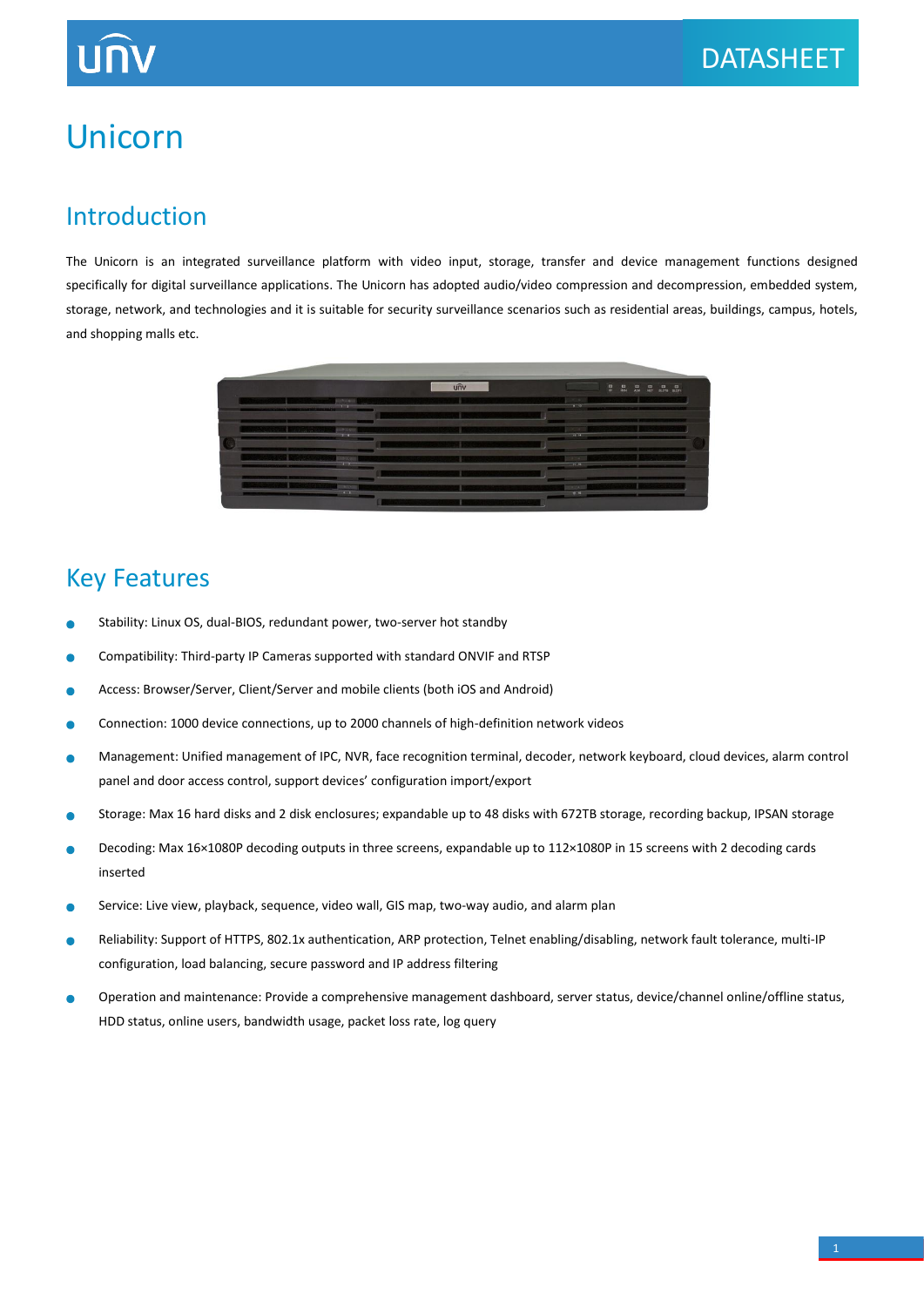# Unicorn

### Introduction

The Unicorn is an integrated surveillance platform with video input, storage, transfer and device management functions designed specifically for digital surveillance applications. The Unicorn has adopted audio/video compression and decompression, embedded system, storage, network, and technologies and it is suitable for security surveillance scenarios such as residential areas, buildings, campus, hotels, and shopping malls etc.



### Key Features

- Stability: Linux OS, dual-BIOS, redundant power, two-server hot standby
- Compatibility: Third-party IP Cameras supported with standard ONVIF and RTSP Ċ
- Access: Browser/Server, Client/Server and mobile clients (both iOS and Android)  $\bullet$
- Connection: 1000 device connections, up to 2000 channels of high-definition network videos ä
- Management: Unified management of IPC, NVR, face recognition terminal, decoder, network keyboard, cloud devices, alarm control  $\bullet$ panel and door access control, support devices' configuration import/export
- Storage: Max 16 hard disks and 2 disk enclosures; expandable up to 48 disks with 672TB storage, recording backup, IPSAN storage  $\bullet$
- $\bullet$ Decoding: Max 16×1080P decoding outputs in three screens, expandable up to 112×1080P in 15 screens with 2 decoding cards inserted
- Service: Live view, playback, sequence, video wall, GIS map, two-way audio, and alarm plan ä
- Reliability: Support of HTTPS, 802.1x authentication, ARP protection, Telnet enabling/disabling, network fault tolerance, multi-IP  $\bullet$ configuration, load balancing, secure password and IP address filtering
- è Operation and maintenance: Provide a comprehensive management dashboard, server status, device/channel online/offline status, HDD status, online users, bandwidth usage, packet loss rate, log query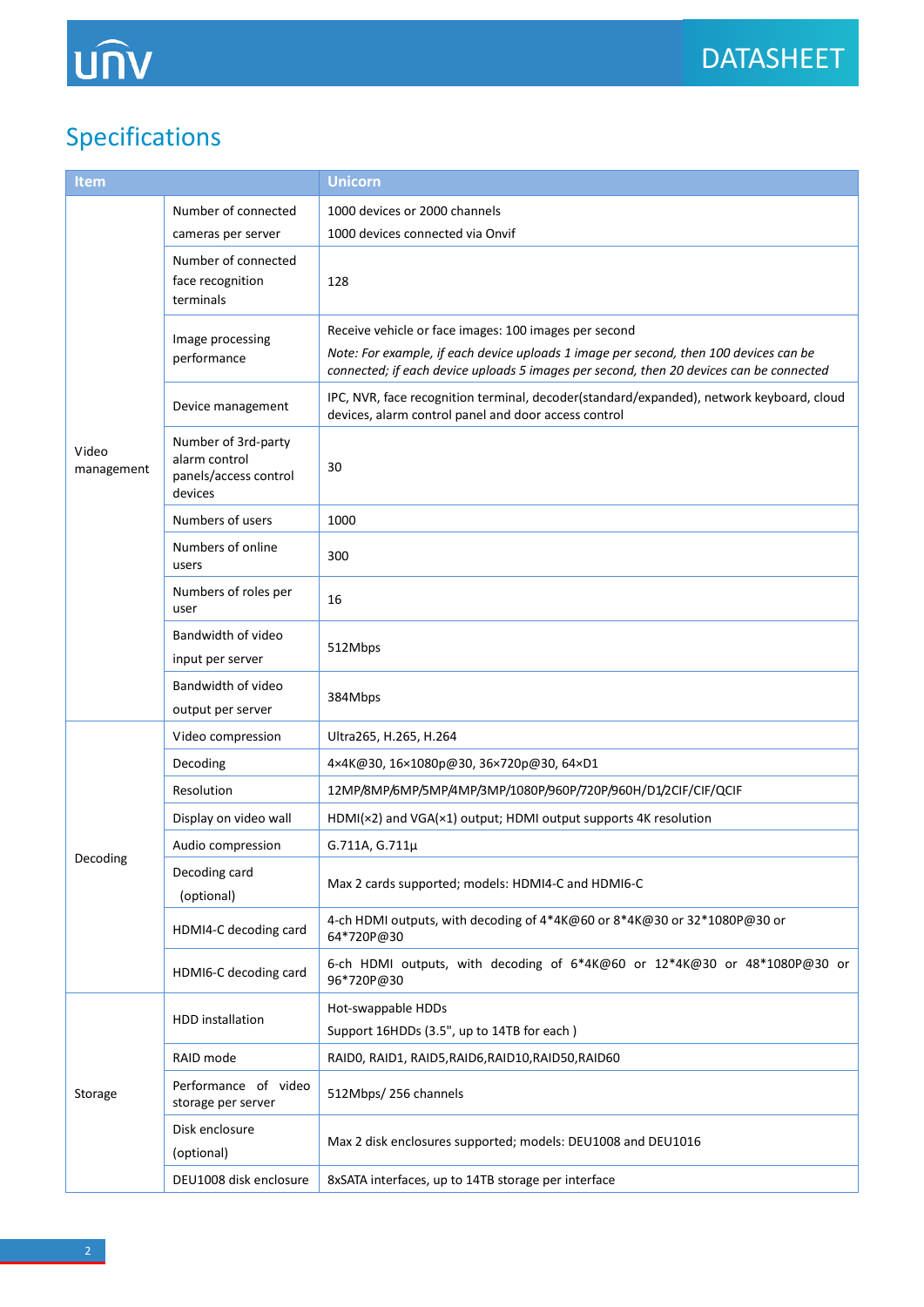# Specifications

| Item                |                                                                          | <b>Unicorn</b>                                                                                                                                                                   |  |
|---------------------|--------------------------------------------------------------------------|----------------------------------------------------------------------------------------------------------------------------------------------------------------------------------|--|
| Video<br>management | Number of connected                                                      | 1000 devices or 2000 channels                                                                                                                                                    |  |
|                     | cameras per server                                                       | 1000 devices connected via Onvif                                                                                                                                                 |  |
|                     | Number of connected<br>face recognition<br>terminals                     | 128                                                                                                                                                                              |  |
|                     | Image processing<br>performance                                          | Receive vehicle or face images: 100 images per second                                                                                                                            |  |
|                     |                                                                          | Note: For example, if each device uploads 1 image per second, then 100 devices can be<br>connected; if each device uploads 5 images per second, then 20 devices can be connected |  |
|                     | Device management                                                        | IPC, NVR, face recognition terminal, decoder(standard/expanded), network keyboard, cloud<br>devices, alarm control panel and door access control                                 |  |
|                     | Number of 3rd-party<br>alarm control<br>panels/access control<br>devices | 30                                                                                                                                                                               |  |
|                     | Numbers of users                                                         | 1000                                                                                                                                                                             |  |
|                     | Numbers of online<br>users                                               | 300                                                                                                                                                                              |  |
|                     | Numbers of roles per<br>user                                             | 16                                                                                                                                                                               |  |
|                     | Bandwidth of video<br>input per server                                   | 512Mbps                                                                                                                                                                          |  |
|                     | Bandwidth of video<br>output per server                                  | 384Mbps                                                                                                                                                                          |  |
|                     | Video compression                                                        | Ultra265, H.265, H.264                                                                                                                                                           |  |
|                     | Decoding                                                                 | 4×4K@30, 16×1080p@30, 36×720p@30, 64×D1                                                                                                                                          |  |
|                     | Resolution                                                               | 12MP/8MP/6MP/5MP/4MP/3MP/1080P/960P/720P/960H/D1/2CIF/CIF/QCIF                                                                                                                   |  |
|                     | Display on video wall                                                    | HDMI(x2) and VGA(x1) output; HDMI output supports 4K resolution                                                                                                                  |  |
|                     | Audio compression                                                        | G.711A, G.711µ                                                                                                                                                                   |  |
| Decoding            | Decoding card<br>(optional)                                              | Max 2 cards supported; models: HDMI4-C and HDMI6-C                                                                                                                               |  |
|                     | HDMI4-C decoding card                                                    | 4-ch HDMI outputs, with decoding of 4*4K@60 or 8*4K@30 or 32*1080P@30 or<br>64*720P@30                                                                                           |  |
|                     | HDMI6-C decoding card                                                    | 6-ch HDMI outputs, with decoding of 6*4K@60 or 12*4K@30 or 48*1080P@30 or<br>96*720P@30                                                                                          |  |
| Storage             | <b>HDD</b> installation                                                  | Hot-swappable HDDs                                                                                                                                                               |  |
|                     |                                                                          | Support 16HDDs (3.5", up to 14TB for each)                                                                                                                                       |  |
|                     | RAID mode                                                                | RAIDO, RAID1, RAID5, RAID6, RAID10, RAID50, RAID60                                                                                                                               |  |
|                     | Performance of video<br>storage per server                               | 512Mbps/256 channels                                                                                                                                                             |  |
|                     | Disk enclosure<br>(optional)                                             | Max 2 disk enclosures supported; models: DEU1008 and DEU1016                                                                                                                     |  |
|                     | DEU1008 disk enclosure                                                   | 8xSATA interfaces, up to 14TB storage per interface                                                                                                                              |  |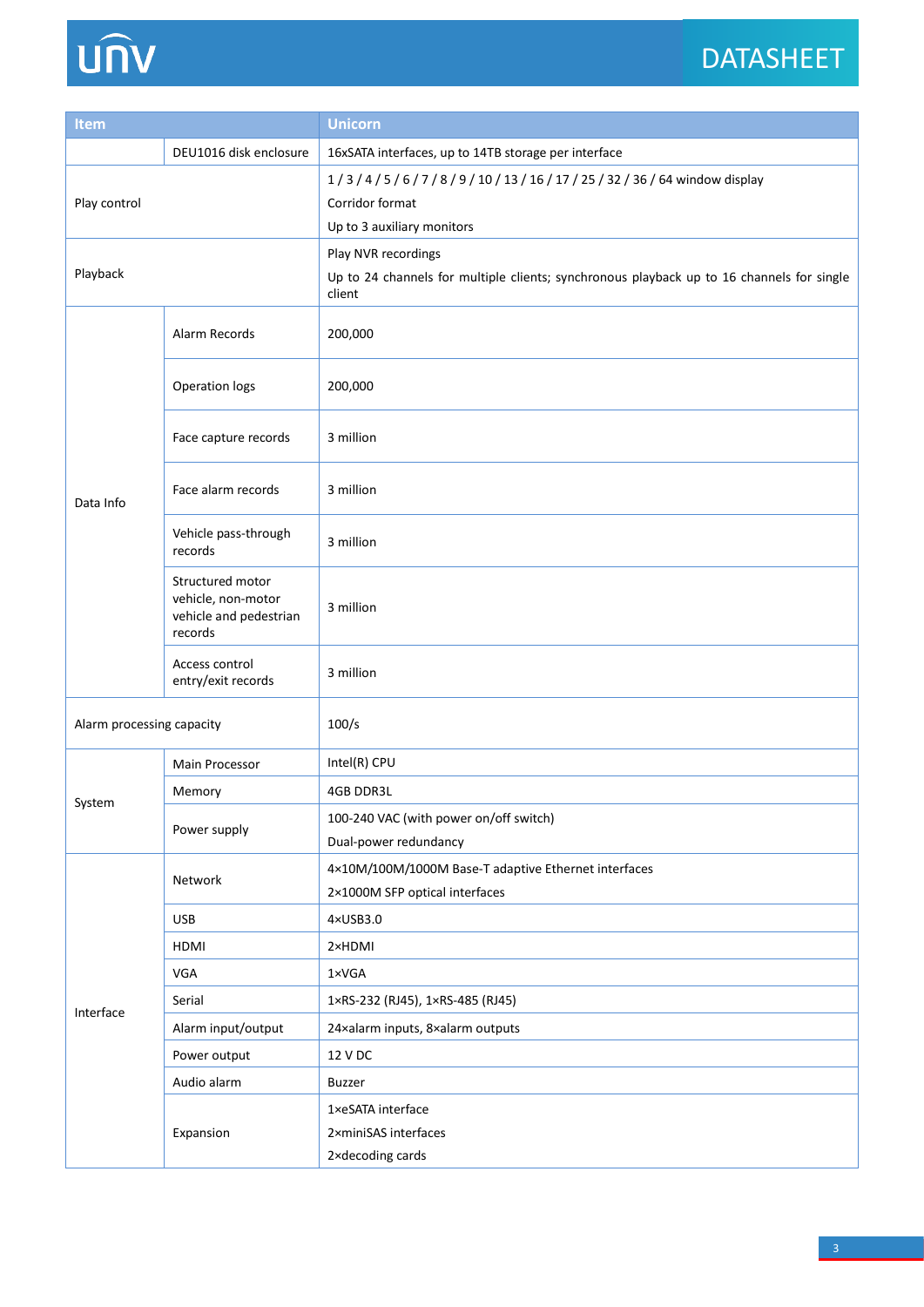# DATASHEET



| <b>Item</b>               |                                                                             | <b>Unicorn</b>                                                                                                             |  |
|---------------------------|-----------------------------------------------------------------------------|----------------------------------------------------------------------------------------------------------------------------|--|
|                           | DEU1016 disk enclosure                                                      | 16xSATA interfaces, up to 14TB storage per interface                                                                       |  |
| Play control              |                                                                             | 1/3/4/5/6/7/8/9/10/13/16/17/25/32/36/64 window display<br>Corridor format<br>Up to 3 auxiliary monitors                    |  |
| Playback                  |                                                                             | Play NVR recordings<br>Up to 24 channels for multiple clients; synchronous playback up to 16 channels for single<br>client |  |
| Data Info                 | Alarm Records                                                               | 200,000                                                                                                                    |  |
|                           | Operation logs                                                              | 200,000                                                                                                                    |  |
|                           | Face capture records                                                        | 3 million                                                                                                                  |  |
|                           | Face alarm records                                                          | 3 million                                                                                                                  |  |
|                           | Vehicle pass-through<br>records                                             | 3 million                                                                                                                  |  |
|                           | Structured motor<br>vehicle, non-motor<br>vehicle and pedestrian<br>records | 3 million                                                                                                                  |  |
|                           | Access control<br>entry/exit records                                        | 3 million                                                                                                                  |  |
| Alarm processing capacity |                                                                             | 100/s                                                                                                                      |  |
|                           | Main Processor                                                              | Intel(R) CPU                                                                                                               |  |
|                           | Memory                                                                      | 4GB DDR3L                                                                                                                  |  |
| System                    | Power supply                                                                | 100-240 VAC (with power on/off switch)<br>Dual-power redundancy                                                            |  |
| Interface                 | Network                                                                     | 4×10M/100M/1000M Base-T adaptive Ethernet interfaces<br>2×1000M SFP optical interfaces                                     |  |
|                           | <b>USB</b>                                                                  | 4×USB3.0                                                                                                                   |  |
|                           | HDMI                                                                        | 2×HDMI                                                                                                                     |  |
|                           | VGA                                                                         | 1×VGA                                                                                                                      |  |
|                           | Serial                                                                      | 1×RS-232 (RJ45), 1×RS-485 (RJ45)                                                                                           |  |
|                           | Alarm input/output                                                          | 24xalarm inputs, 8xalarm outputs                                                                                           |  |
|                           | Power output                                                                | 12 V DC                                                                                                                    |  |
|                           | Audio alarm                                                                 | <b>Buzzer</b>                                                                                                              |  |
|                           | Expansion                                                                   | 1×eSATA interface<br>2xminiSAS interfaces<br>2xdecoding cards                                                              |  |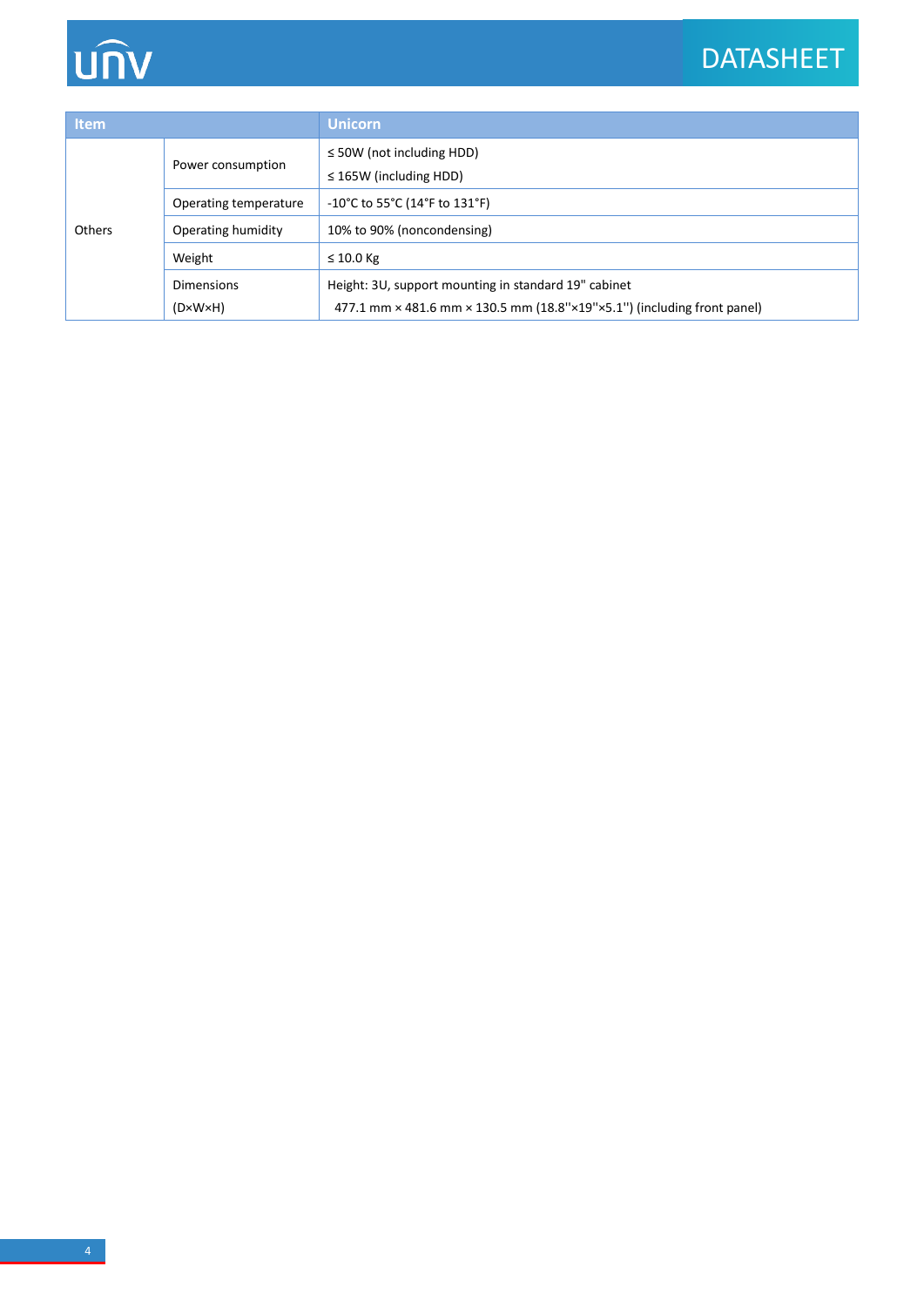# unv

# DATASHEET

| <b>Item</b> |                                              | <b>Unicorn</b>                                                                                                                                                  |  |
|-------------|----------------------------------------------|-----------------------------------------------------------------------------------------------------------------------------------------------------------------|--|
| Others      | Power consumption                            | $\leq$ 50W (not including HDD)<br>$\leq$ 165W (including HDD)                                                                                                   |  |
|             | Operating temperature                        | -10°C to 55°C (14°F to 131°F)                                                                                                                                   |  |
|             | Operating humidity                           | 10% to 90% (noncondensing)                                                                                                                                      |  |
|             | Weight                                       | $\leq 10.0$ Kg                                                                                                                                                  |  |
|             | <b>Dimensions</b><br>$(D \times W \times H)$ | Height: 3U, support mounting in standard 19" cabinet<br>477.1 mm $\times$ 481.6 mm $\times$ 130.5 mm (18.8" $\times$ 19" $\times$ 5.1") (including front panel) |  |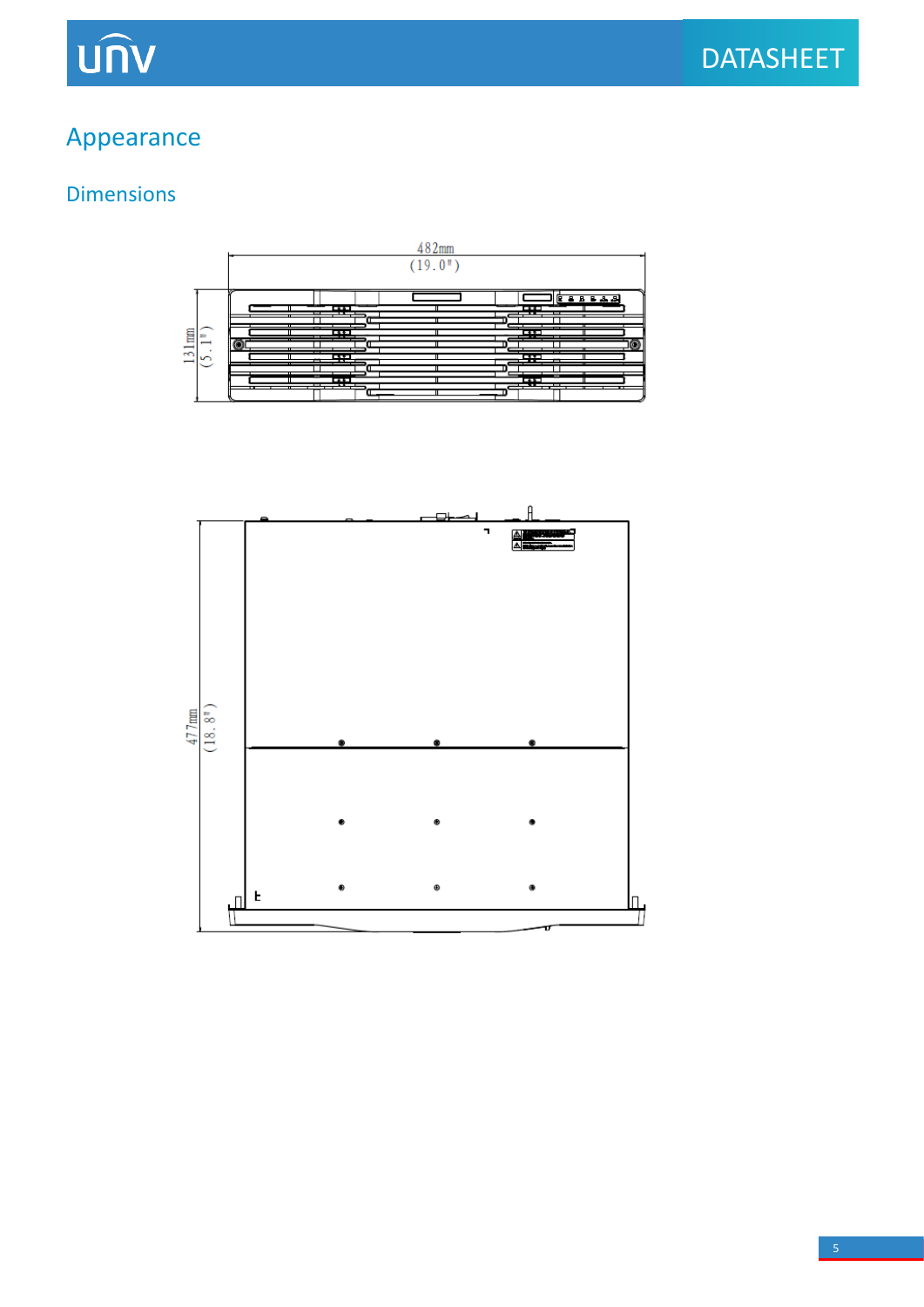### Appearance

### Dimensions